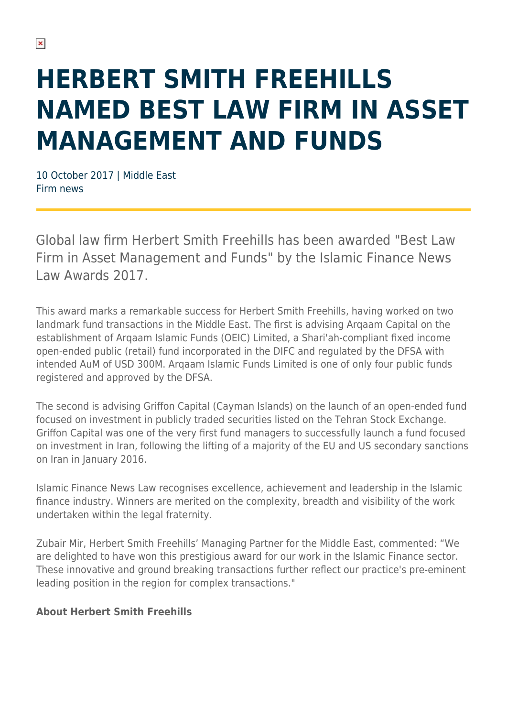## **HERBERT SMITH FREEHILLS NAMED BEST LAW FIRM IN ASSET MANAGEMENT AND FUNDS**

10 October 2017 | Middle East Firm news

Global law firm Herbert Smith Freehills has been awarded "Best Law Firm in Asset Management and Funds" by the Islamic Finance News Law Awards 2017.

This award marks a remarkable success for Herbert Smith Freehills, having worked on two landmark fund transactions in the Middle East. The first is advising Arqaam Capital on the establishment of Arqaam Islamic Funds (OEIC) Limited, a Shari'ah-compliant fixed income open-ended public (retail) fund incorporated in the DIFC and regulated by the DFSA with intended AuM of USD 300M. Arqaam Islamic Funds Limited is one of only four public funds registered and approved by the DFSA.

The second is advising Griffon Capital (Cayman Islands) on the launch of an open-ended fund focused on investment in publicly traded securities listed on the Tehran Stock Exchange. Griffon Capital was one of the very first fund managers to successfully launch a fund focused on investment in Iran, following the lifting of a majority of the EU and US secondary sanctions on Iran in January 2016.

Islamic Finance News Law recognises excellence, achievement and leadership in the Islamic finance industry. Winners are merited on the complexity, breadth and visibility of the work undertaken within the legal fraternity.

Zubair Mir, Herbert Smith Freehills' Managing Partner for the Middle East, commented: "We are delighted to have won this prestigious award for our work in the Islamic Finance sector. These innovative and ground breaking transactions further reflect our practice's pre-eminent leading position in the region for complex transactions."

## **About Herbert Smith Freehills**